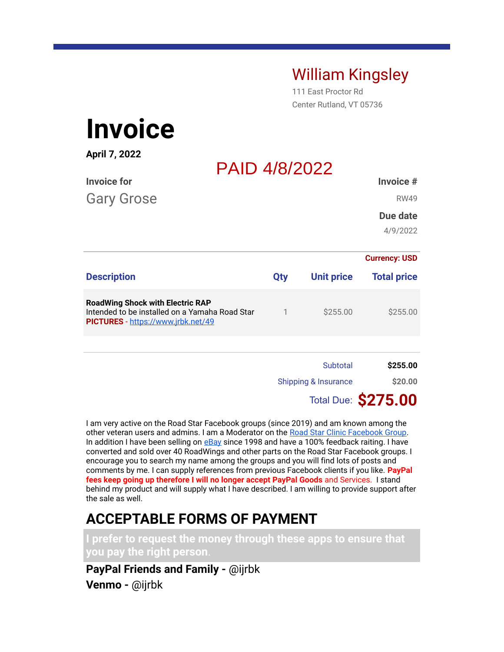## William Kingsley

111 East Proctor Rd Center Rutland, VT 05736

# **Invoice**

| April 7, 2022                                                                                                                   |            | <b>PAID 4/8/2022</b>            |                          |  |
|---------------------------------------------------------------------------------------------------------------------------------|------------|---------------------------------|--------------------------|--|
| <b>Invoice for</b><br><b>Gary Grose</b>                                                                                         |            |                                 | Invoice #<br><b>RW49</b> |  |
|                                                                                                                                 |            |                                 | Due date<br>4/9/2022     |  |
|                                                                                                                                 |            |                                 | <b>Currency: USD</b>     |  |
| <b>Description</b>                                                                                                              | <b>Qty</b> | <b>Unit price</b>               | <b>Total price</b>       |  |
| <b>RoadWing Shock with Electric RAP</b><br>Intended to be installed on a Yamaha Road Star<br>PICTURES - https://www.jrbk.net/49 | 1          | \$255.00                        | \$255.00                 |  |
|                                                                                                                                 |            |                                 |                          |  |
|                                                                                                                                 |            | Subtotal                        | \$255.00                 |  |
|                                                                                                                                 |            | <b>Shipping &amp; Insurance</b> | \$20.00                  |  |
|                                                                                                                                 |            |                                 | Total Due: \$275.00      |  |

I am very active on the Road Star Facebook groups (since 2019) and am known among the other veteran users and admins. I am a Moderator on the Road Star Clinic Facebook Group. In addition I have been selling on eBay since 1998 and have a 100% feedback raiting. I have converted and sold over 40 RoadWings and other parts on the Road Star Facebook groups. I encourage you to search my name among the groups and you will find lots of posts and comments by me. I can supply references from previous Facebook clients if you like. **PayPal fees keep going up therefore I will no longer accept PayPal Goods** and Services. I stand behind my product and will supply what I have described. I am willing to provide support after the sale as well.

## **ACCEPTABLE FORMS OF PAYMENT**

**I prefer to request the money through these apps to ensure that you pay the right person**.

**PayPal Friends and Family -** @ijrbk **Venmo -** @ijrbk